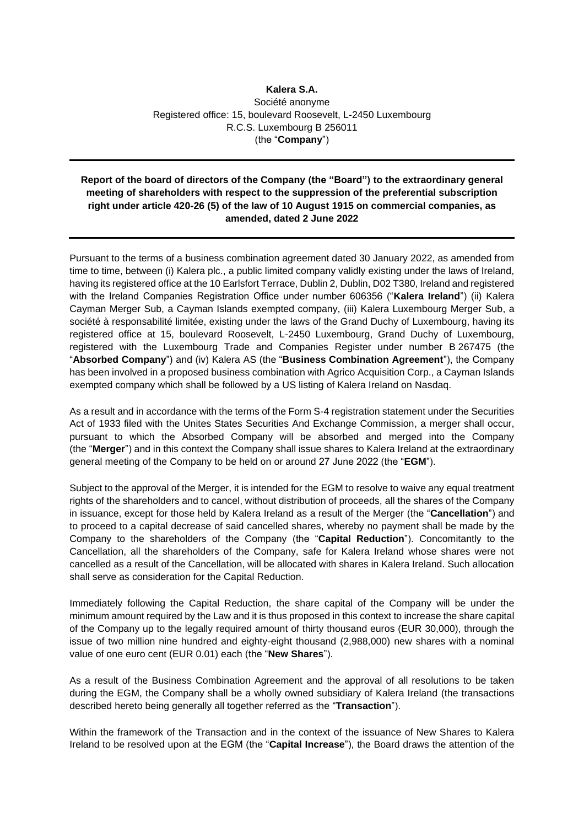## **Kalera S.A.** Société anonyme Registered office: 15, boulevard Roosevelt, L-2450 Luxembourg R.C.S. Luxembourg B 256011 (the "**Company**")

## **Report of the board of directors of the Company (the "Board") to the extraordinary general meeting of shareholders with respect to the suppression of the preferential subscription right under article 420-26 (5) of the law of 10 August 1915 on commercial companies, as amended, dated 2 June 2022**

Pursuant to the terms of a business combination agreement dated 30 January 2022, as amended from time to time, between (i) Kalera plc., a public limited company validly existing under the laws of Ireland, having its registered office at the 10 Earlsfort Terrace, Dublin 2, Dublin, D02 T380, Ireland and registered with the Ireland Companies Registration Office under number 606356 ("**Kalera Ireland**") (ii) Kalera Cayman Merger Sub, a Cayman Islands exempted company, (iii) Kalera Luxembourg Merger Sub, a société à responsabilité limitée, existing under the laws of the Grand Duchy of Luxembourg, having its registered office at 15, boulevard Roosevelt, L-2450 Luxembourg, Grand Duchy of Luxembourg, registered with the Luxembourg Trade and Companies Register under number B 267475 (the "**Absorbed Company**") and (iv) Kalera AS (the "**Business Combination Agreement**"), the Company has been involved in a proposed business combination with Agrico Acquisition Corp., a Cayman Islands exempted company which shall be followed by a US listing of Kalera Ireland on Nasdaq.

As a result and in accordance with the terms of the Form S-4 registration statement under the Securities Act of 1933 filed with the Unites States Securities And Exchange Commission, a merger shall occur, pursuant to which the Absorbed Company will be absorbed and merged into the Company (the "**Merger**") and in this context the Company shall issue shares to Kalera Ireland at the extraordinary general meeting of the Company to be held on or around 27 June 2022 (the "**EGM**").

Subject to the approval of the Merger, it is intended for the EGM to resolve to waive any equal treatment rights of the shareholders and to cancel, without distribution of proceeds, all the shares of the Company in issuance, except for those held by Kalera Ireland as a result of the Merger (the "**Cancellation**") and to proceed to a capital decrease of said cancelled shares, whereby no payment shall be made by the Company to the shareholders of the Company (the "**Capital Reduction**"). Concomitantly to the Cancellation, all the shareholders of the Company, safe for Kalera Ireland whose shares were not cancelled as a result of the Cancellation, will be allocated with shares in Kalera Ireland. Such allocation shall serve as consideration for the Capital Reduction.

Immediately following the Capital Reduction, the share capital of the Company will be under the minimum amount required by the Law and it is thus proposed in this context to increase the share capital of the Company up to the legally required amount of thirty thousand euros (EUR 30,000), through the issue of two million nine hundred and eighty-eight thousand (2,988,000) new shares with a nominal value of one euro cent (EUR 0.01) each (the "**New Shares**").

As a result of the Business Combination Agreement and the approval of all resolutions to be taken during the EGM, the Company shall be a wholly owned subsidiary of Kalera Ireland (the transactions described hereto being generally all together referred as the "**Transaction**").

Within the framework of the Transaction and in the context of the issuance of New Shares to Kalera Ireland to be resolved upon at the EGM (the "**Capital Increase**"), the Board draws the attention of the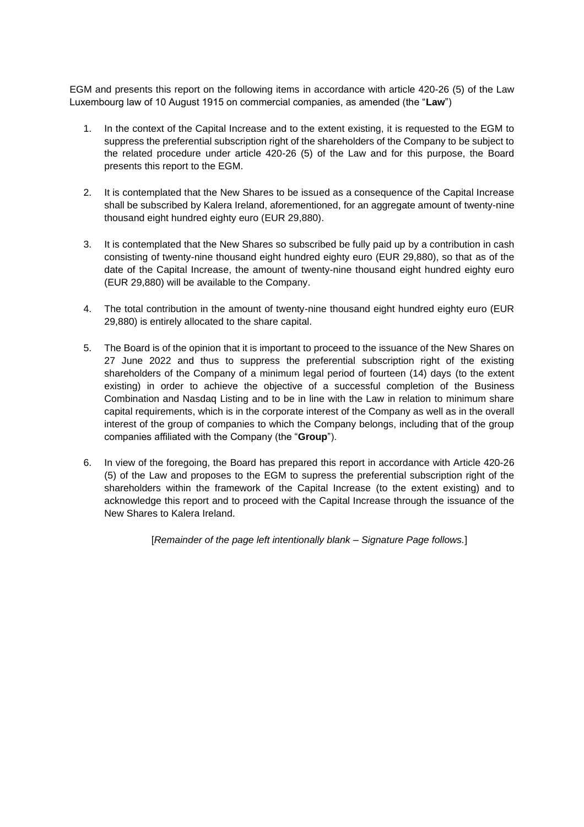EGM and presents this report on the following items in accordance with article 420-26 (5) of the Law Luxembourg law of 10 August 1915 on commercial companies, as amended (the "**Law**")

- 1. In the context of the Capital Increase and to the extent existing, it is requested to the EGM to suppress the preferential subscription right of the shareholders of the Company to be subject to the related procedure under article 420-26 (5) of the Law and for this purpose, the Board presents this report to the EGM.
- 2. It is contemplated that the New Shares to be issued as a consequence of the Capital Increase shall be subscribed by Kalera Ireland, aforementioned, for an aggregate amount of twenty-nine thousand eight hundred eighty euro (EUR 29,880).
- 3. It is contemplated that the New Shares so subscribed be fully paid up by a contribution in cash consisting of twenty-nine thousand eight hundred eighty euro (EUR 29,880), so that as of the date of the Capital Increase, the amount of twenty-nine thousand eight hundred eighty euro (EUR 29,880) will be available to the Company.
- 4. The total contribution in the amount of twenty-nine thousand eight hundred eighty euro (EUR 29,880) is entirely allocated to the share capital.
- 5. The Board is of the opinion that it is important to proceed to the issuance of the New Shares on 27 June 2022 and thus to suppress the preferential subscription right of the existing shareholders of the Company of a minimum legal period of fourteen (14) days (to the extent existing) in order to achieve the objective of a successful completion of the Business Combination and Nasdaq Listing and to be in line with the Law in relation to minimum share capital requirements, which is in the corporate interest of the Company as well as in the overall interest of the group of companies to which the Company belongs, including that of the group companies affiliated with the Company (the "**Group**").
- 6. In view of the foregoing, the Board has prepared this report in accordance with Article 420-26 (5) of the Law and proposes to the EGM to supress the preferential subscription right of the shareholders within the framework of the Capital Increase (to the extent existing) and to acknowledge this report and to proceed with the Capital Increase through the issuance of the New Shares to Kalera Ireland.

[*Remainder of the page left intentionally blank – Signature Page follows.*]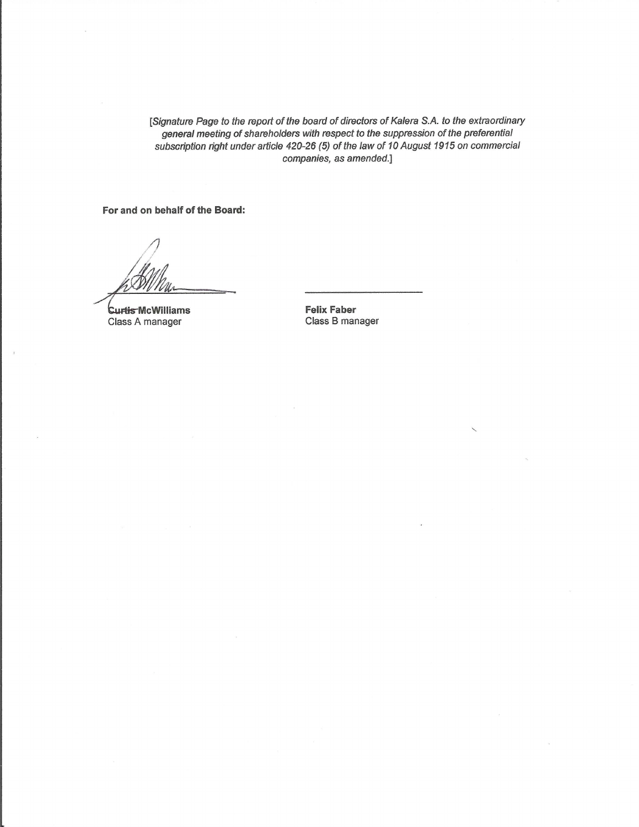[Signature Page to the report of the board of directors of Kalera S.A. to the extraordinary general meeting of shareholders with respect to the suppression of the preferential subscription right under article 420-26 (5) of the law of 10 August 1915 on commercial companies, as amended.]

For and on behalf of the Board:

**Curtis McWilliams** Class A manager

**Felix Faber** Class B manager